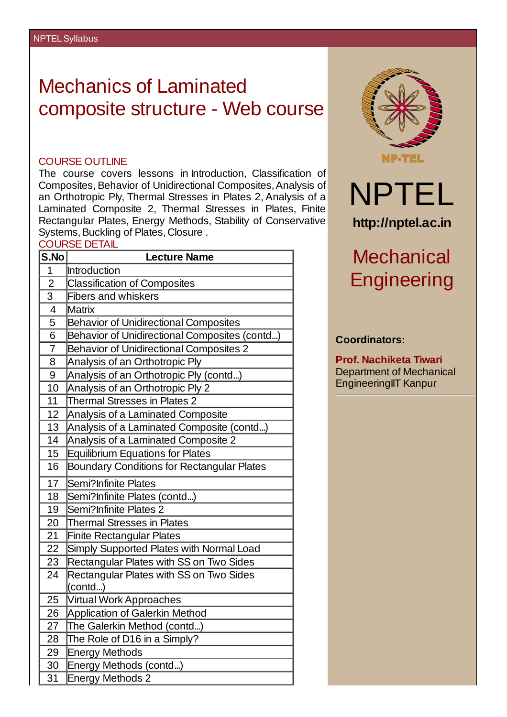## Mechanics of Laminated composite structure - Web course

## COURSE OUTLINE

The course covers lessons in Introduction, Classification of Composites, Behavior of Unidirectional Composites,Analysis of an Orthotropic Ply, Thermal Stresses in Plates 2, Analysis of a Laminated Composite 2, Thermal Stresses in Plates, Finite Rectangular Plates, Energy Methods, Stability of Conservative Systems, Buckling of Plates, Closure .

## COURSE DETAIL

| S.No           | <b>Lecture Name</b>                               |  |  |  |
|----------------|---------------------------------------------------|--|--|--|
| $\overline{1}$ | Introduction                                      |  |  |  |
| $\overline{2}$ | <b>Classification of Composites</b>               |  |  |  |
| $\overline{3}$ | <b>Fibers and whiskers</b>                        |  |  |  |
| 4              | <b>Matrix</b>                                     |  |  |  |
| 5              | <b>Behavior of Unidirectional Composites</b>      |  |  |  |
| 6              | Behavior of Unidirectional Composites (contd)     |  |  |  |
| $\overline{7}$ | <b>Behavior of Unidirectional Composites 2</b>    |  |  |  |
| 8              | Analysis of an Orthotropic Ply                    |  |  |  |
| 9              | Analysis of an Orthotropic Ply (contd)            |  |  |  |
| 10             | Analysis of an Orthotropic Ply 2                  |  |  |  |
| 11             | <b>Thermal Stresses in Plates 2</b>               |  |  |  |
| 12             | Analysis of a Laminated Composite                 |  |  |  |
| 13             | Analysis of a Laminated Composite (contd)         |  |  |  |
| 14             | Analysis of a Laminated Composite 2               |  |  |  |
| 15             | <b>Equilibrium Equations for Plates</b>           |  |  |  |
| 16             | <b>Boundary Conditions for Rectangular Plates</b> |  |  |  |
| 17             | Semi?Infinite Plates                              |  |  |  |
| 18             | Semi?Infinite Plates (contd)                      |  |  |  |
| 19             | Semi?Infinite Plates 2                            |  |  |  |
| 20             | <b>Thermal Stresses in Plates</b>                 |  |  |  |
| 21             | <b>Finite Rectangular Plates</b>                  |  |  |  |
| 22             | Simply Supported Plates with Normal Load          |  |  |  |
| 23             | Rectangular Plates with SS on Two Sides           |  |  |  |
| 24             | Rectangular Plates with SS on Two Sides           |  |  |  |
|                | (contd)                                           |  |  |  |
| 25             | Virtual Work Approaches                           |  |  |  |
| 26             | <b>Application of Galerkin Method</b>             |  |  |  |
| 27             | The Galerkin Method (contd)                       |  |  |  |
| 28             | The Role of D16 in a Simply?                      |  |  |  |
| 29             | <b>Energy Methods</b>                             |  |  |  |
| 30             | Energy Methods (contd)                            |  |  |  |
| 31             | <b>Energy Methods 2</b>                           |  |  |  |



## **Coordinators:**

**Prof. Nachiketa Tiwari** Department of Mechanical EngineeringIIT Kanpur